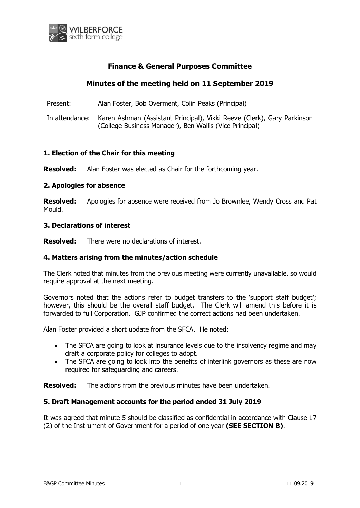

## **Finance & General Purposes Committee**

# **Minutes of the meeting held on 11 September 2019**

Present: Alan Foster, Bob Overment, Colin Peaks (Principal)

In attendance: Karen Ashman (Assistant Principal), Vikki Reeve (Clerk), Gary Parkinson (College Business Manager), Ben Wallis (Vice Principal)

#### **1. Election of the Chair for this meeting**

**Resolved:** Alan Foster was elected as Chair for the forthcoming year.

#### **2. Apologies for absence**

**Resolved:** Apologies for absence were received from Jo Brownlee, Wendy Cross and Pat Mould.

#### **3. Declarations of interest**

**Resolved:** There were no declarations of interest.

#### **4. Matters arising from the minutes/action schedule**

The Clerk noted that minutes from the previous meeting were currently unavailable, so would require approval at the next meeting.

Governors noted that the actions refer to budget transfers to the 'support staff budget'; however, this should be the overall staff budget. The Clerk will amend this before it is forwarded to full Corporation. GJP confirmed the correct actions had been undertaken.

Alan Foster provided a short update from the SFCA. He noted:

- The SFCA are going to look at insurance levels due to the insolvency regime and may draft a corporate policy for colleges to adopt.
- The SFCA are going to look into the benefits of interlink governors as these are now required for safeguarding and careers.

**Resolved:** The actions from the previous minutes have been undertaken.

#### **5. Draft Management accounts for the period ended 31 July 2019**

It was agreed that minute 5 should be classified as confidential in accordance with Clause 17 (2) of the Instrument of Government for a period of one year **(SEE SECTION B)**.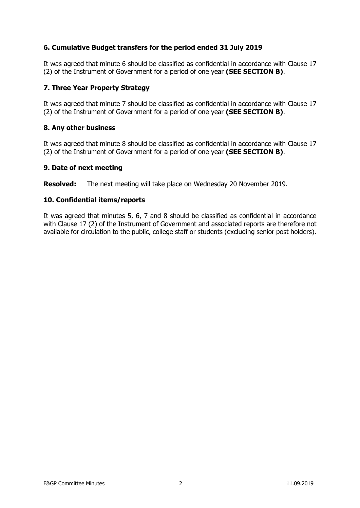## **6. Cumulative Budget transfers for the period ended 31 July 2019**

It was agreed that minute 6 should be classified as confidential in accordance with Clause 17 (2) of the Instrument of Government for a period of one year **(SEE SECTION B)**.

## **7. Three Year Property Strategy**

It was agreed that minute 7 should be classified as confidential in accordance with Clause 17 (2) of the Instrument of Government for a period of one year **(SEE SECTION B)**.

#### **8. Any other business**

It was agreed that minute 8 should be classified as confidential in accordance with Clause 17 (2) of the Instrument of Government for a period of one year **(SEE SECTION B)**.

### **9. Date of next meeting**

**Resolved:** The next meeting will take place on Wednesday 20 November 2019.

### **10. Confidential items/reports**

It was agreed that minutes 5, 6, 7 and 8 should be classified as confidential in accordance with Clause 17 (2) of the Instrument of Government and associated reports are therefore not available for circulation to the public, college staff or students (excluding senior post holders).